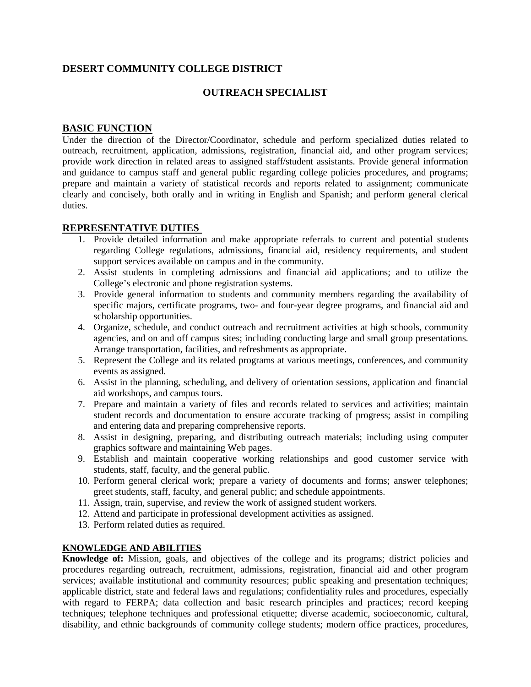# **DESERT COMMUNITY COLLEGE DISTRICT**

## **OUTREACH SPECIALIST**

## **BASIC FUNCTION**

Under the direction of the Director/Coordinator, schedule and perform specialized duties related to outreach, recruitment, application, admissions, registration, financial aid, and other program services; provide work direction in related areas to assigned staff/student assistants. Provide general information and guidance to campus staff and general public regarding college policies procedures, and programs; prepare and maintain a variety of statistical records and reports related to assignment; communicate clearly and concisely, both orally and in writing in English and Spanish; and perform general clerical duties.

#### **REPRESENTATIVE DUTIES**

- 1. Provide detailed information and make appropriate referrals to current and potential students regarding College regulations, admissions, financial aid, residency requirements, and student support services available on campus and in the community.
- 2. Assist students in completing admissions and financial aid applications; and to utilize the College's electronic and phone registration systems.
- 3. Provide general information to students and community members regarding the availability of specific majors, certificate programs, two- and four-year degree programs, and financial aid and scholarship opportunities.
- 4. Organize, schedule, and conduct outreach and recruitment activities at high schools, community agencies, and on and off campus sites; including conducting large and small group presentations. Arrange transportation, facilities, and refreshments as appropriate.
- 5. Represent the College and its related programs at various meetings, conferences, and community events as assigned.
- 6. Assist in the planning, scheduling, and delivery of orientation sessions, application and financial aid workshops, and campus tours.
- 7. Prepare and maintain a variety of files and records related to services and activities; maintain student records and documentation to ensure accurate tracking of progress; assist in compiling and entering data and preparing comprehensive reports.
- 8. Assist in designing, preparing, and distributing outreach materials; including using computer graphics software and maintaining Web pages.
- 9. Establish and maintain cooperative working relationships and good customer service with students, staff, faculty, and the general public.
- 10. Perform general clerical work; prepare a variety of documents and forms; answer telephones; greet students, staff, faculty, and general public; and schedule appointments.
- 11. Assign, train, supervise, and review the work of assigned student workers.
- 12. Attend and participate in professional development activities as assigned.
- 13. Perform related duties as required.

#### **KNOWLEDGE AND ABILITIES**

**Knowledge of:** Mission, goals, and objectives of the college and its programs; district policies and procedures regarding outreach, recruitment, admissions, registration, financial aid and other program services; available institutional and community resources; public speaking and presentation techniques; applicable district, state and federal laws and regulations; confidentiality rules and procedures, especially with regard to FERPA; data collection and basic research principles and practices; record keeping techniques; telephone techniques and professional etiquette; diverse academic, socioeconomic, cultural, disability, and ethnic backgrounds of community college students; modern office practices, procedures,